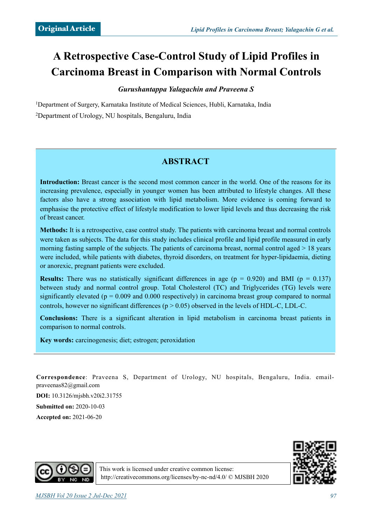# **A Retrospective Case-Control Study of Lipid Profiles in Carcinoma Breast in Comparison with Normal Controls**

### *Gurushantappa Yalagachin and Praveena S*

1Department of Surgery, Karnataka Institute of Medical Sciences, Hubli, Karnataka, India 2Department of Urology, NU hospitals, Bengaluru, India

# **ABSTRACT**

**Introduction:** Breast cancer is the second most common cancer in the world. One of the reasons for its increasing prevalence, especially in younger women has been attributed to lifestyle changes. All these factors also have a strong association with lipid metabolism. More evidence is coming forward to emphasise the protective effect of lifestyle modification to lower lipid levels and thus decreasing the risk of breast cancer.

**Methods:** It is a retrospective, case control study. The patients with carcinoma breast and normal controls were taken as subjects. The data for this study includes clinical profile and lipid profile measured in early morning fasting sample of the subjects. The patients of carcinoma breast, normal control aged > 18 years were included, while patients with diabetes, thyroid disorders, on treatment for hyper-lipidaemia, dieting or anorexic, pregnant patients were excluded.

**Results:** There was no statistically significant differences in age ( $p = 0.920$ ) and BMI ( $p = 0.137$ ) between study and normal control group. Total Cholesterol (TC) and Triglycerides (TG) levels were significantly elevated ( $p = 0.009$  and 0.000 respectively) in carcinoma breast group compared to normal controls, however no significant differences ( $p > 0.05$ ) observed in the levels of HDL-C, LDL-C.

**Conclusions:** There is a significant alteration in lipid metabolism in carcinoma breast patients in comparison to normal controls.

**Key words:** carcinogenesis; diet; estrogen; peroxidation

**Correspondence**[: Praveena S, Department of Urology, NU hospitals, Bengaluru, India. email](mailto:email-praveenas82@gmail.com)praveenas82@gmail.com

**DOI:** 10.3126/mjsbh.v20i2.31755 **Submitted on:** 2020-10-03 **Accepted on:** 2021-06-20





This work is licensed under creative common license: <http://creativecommons.org/licenses/by-nc-nd/4.0/>© MJSBH 2020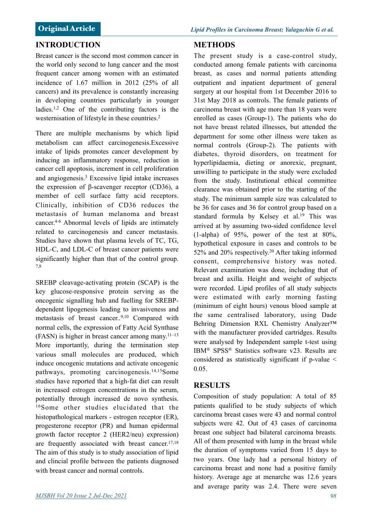Breast cancer is the second most common cancer in the world only second to lung cancer and the most frequent cancer among women with an estimated incidence of 1.67 million in 2012 (25% of all cancers) and its prevalence is constantly increasing in developing countries particularly in younger ladies.1,2 One of the contributing factors is the westernisation of lifestyle in these countries.<sup>2</sup>

There are multiple mechanisms by which lipid metabolism can affect carcinogenesis.Excessive intake of lipids promotes cancer development by inducing an inflammatory response, reduction in cancer cell apoptosis, increment in cell proliferation and angiogenesis.3 Excessive lipid intake increases the expression of β-scavenger receptor (CD36), a member of cell surface fatty acid receptors. Clinically, inhibition of CD36 reduces the metastasis of human melanoma and breast cancer.4-6 Abnormal levels of lipids are intimately related to carcinogenesis and cancer metastasis. Studies have shown that plasma levels of TC, TG, HDL-C, and LDL-C of breast cancer patients were significantly higher than that of the control group. 7,8

SREBP cleavage-activating protein (SCAP) is the key glucose-responsive protein serving as the oncogenic signalling hub and fuelling for SREBPdependent lipogenesis leading to invasiveness and metastasis of breast cancer..9,10 Compared with normal cells, the expression of Fatty Acid Synthase (FASN) is higher in breast cancer among many.11–13 More importantly, during the termination step various small molecules are produced, which induce oncogenic mutations and activate oncogenic pathways, promoting carcinogenesis.14,15Some studies have reported that a high-fat diet can result in increased estrogen concentrations in the serum, potentially through increased de novo synthesis. 16Some other studies elucidated that the histopathological markers - estrogen receptor (ER), progesterone receptor (PR) and human epidermal growth factor receptor 2 (HER2/neu) expression) are frequently associated with breast cancer.<sup>17,18</sup> The aim of this study is to study association of lipid and clincial profile between the patients diagnosed with breast cancer and normal controls.

# **METHODS**

The present study is a case-control study, conducted among female patients with carcinoma breast, as cases and normal patients attending outpatient and inpatient department of general surgery at our hospital from 1st December 2016 to 31st May 2018 as controls. The female patients of carcinoma breast with age more than 18 years were enrolled as cases (Group-1). The patients who do not have breast related illnesses, but attended the department for some other illness were taken as normal controls (Group-2). The patients with diabetes, thyroid disorders, on treatment for hyperlipidaemia, dieting or anorexic, pregnant, unwilling to participate in the study were excluded from the study. Institutional ethical committee clearance was obtained prior to the starting of the study. The minimum sample size was calculated to be 36 for cases and 36 for control group based on a standard formula by Kelsey et al.19 This was arrived at by assuming two-sided confidence level  $(1-aipha)$  of 95%, power of the test at 80%, hypothetical exposure in cases and controls to be 52% and 20% respectively.20 After taking informed consent, comprehensive history was noted. Relevant examination was done, including that of breast and axilla. Height and weight of subjects were recorded. Lipid profiles of all study subjects were estimated with early morning fasting (minimum of eight hours) venous blood sample at the same centralised laboratory, using Dade Behring Dimension RXL Chemistry Analyzer™ with the manufacturer provided cartridges. Results were analysed by Independent sample t-test using IBM® SPSS® Statistics software v23. Results are considered as statistically significant if p-value < 0.05.

# **RESULTS**

Composition of study population: A total of 85 patients qualified to be study subjects of which carcinoma breast cases were 43 and normal control subjects were 42. Out of 43 cases of carcinoma breast one subject had bilateral carcinoma breasts. All of them presented with lump in the breast while the duration of symptoms varied from 15 days to two years. One lady had a personal history of carcinoma breast and none had a positive family history. Average age at menarche was 12.6 years and average parity was 2.4. There were seven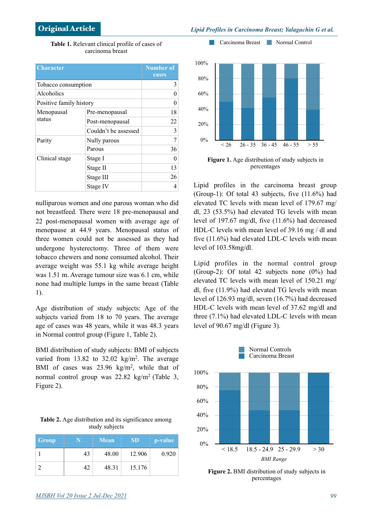**Table 1.** Relevant clinical profile of cases of carcinoma breast

| <b>Character</b>        | <b>Number of</b><br>cases |    |
|-------------------------|---------------------------|----|
| Tobacco consumption     | 3                         |    |
| Alcoholics              | 0                         |    |
| Positive family history | 0                         |    |
| Menopausal<br>status    | Pre-menopausal            | 18 |
|                         | Post-menopausal           | 22 |
|                         | Couldn't be assessed      | 3  |
| Parity                  | Nully parous              | 7  |
|                         | Parous                    | 36 |
| Clinical stage          | Stage I                   | 0  |
|                         | Stage II                  | 13 |
|                         | Stage III                 | 26 |
|                         | Stage IV                  |    |

nulliparous women and one parous woman who did not breastfeed. There were 18 pre-menopausal and 22 post-menopausal women with average age of menopause at 44.9 years. Menopausal status of three women could not be assessed as they had undergone hysterectomy. Three of them were tobacco chewers and none consumed alcohol. Their average weight was 55.1 kg while average height was 1.51 m. Average tumour size was 6.1 cm, while none had multiple lumps in the same breast (Table 1).

Age distribution of study subjects: Age of the subjects varied from 18 to 70 years. The average age of cases was 48 years, while it was 48.3 years in Normal control group (Figure 1, Table 2).

BMI distribution of study subjects: BMI of subjects varied from 13.82 to 32.02 kg/m<sup>2</sup>. The average BMI of cases was 23.96 kg/m<sup>2</sup>, while that of normal control group was 22.82 kg/m2 (Table 3, Figure 2).

| <b>Table 2.</b> Age distribution and its significance among |  |  |  |  |
|-------------------------------------------------------------|--|--|--|--|
| study subjects                                              |  |  |  |  |

| Group |    | <b>Mean</b> | <b>SD</b> | p-value |
|-------|----|-------------|-----------|---------|
|       | 43 | 48.00       | 12.906    | 0.920   |
|       | 42 | 48.31       | 15.176    |         |



**Figure 1.** Age distribution of study subjects in percentages

Lipid profiles in the carcinoma breast group (Group-1): Of total 43 subjects, five (11.6%) had elevated TC levels with mean level of 179.67 mg/ dl, 23 (53.5%) had elevated TG levels with mean level of 197.67 mg/dl, five (11.6%) had decreased HDL-C levels with mean level of 39.16 mg / dl and five (11.6%) had elevated LDL-C levels with mean level of 103.58mg/dl.

Lipid profiles in the normal control group (Group-2): Of total 42 subjects none (0%) had elevated TC levels with mean level of 150.21 mg/ dl, five (11.9%) had elevated TG levels with mean level of 126.93 mg/dl, seven (16.7%) had decreased HDL-C levels with mean level of 37.62 mg/dl and three (7.1%) had elevated LDL-C levels with mean level of 90.67 mg/dl (Figure 3).



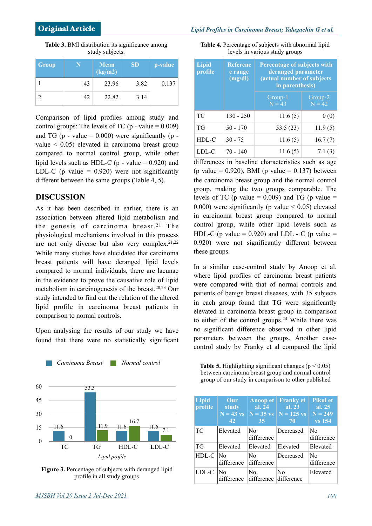**Table 4.** Percentage of subjects with abnormal lipid levels in various study groups

| <b>Group</b> |    | <b>Mean</b><br>(kg/m2) | <b>SD</b> | p-value |
|--------------|----|------------------------|-----------|---------|
|              | 43 | 23.96                  | 3.82      | 0.137   |
|              | 42 | 22.82                  | 3.14      |         |

**Table 3.** BMI distribution its significance among study subjects.

Comparison of lipid profiles among study and control groups: The levels of TC ( $p$  - value = 0.009) and TG (p - value  $= 0.000$ ) were significantly (p value  $\leq 0.05$ ) elevated in carcinoma breast group compared to normal control group, while other lipid levels such as HDL-C ( $p$  - value = 0.920) and LDL-C (p value  $= 0.920$ ) were not significantly different between the same groups (Table 4, 5).

#### **DISCUSSION**

As it has been described in earlier, there is an association between altered lipid metabolism and the genesis of carcinoma breast.<sup>21</sup> The physiological mechanisms involved in this process are not only diverse but also very complex.  $2^{1,22}$ While many studies have elucidated that carcinoma breast patients will have deranged lipid levels compared to normal individuals, there are lacunae in the evidence to prove the causative role of lipid metabolism in carcinogenesis of the breast.20,23 Our study intended to find out the relation of the altered lipid profile in carcinoma breast patients in comparison to normal controls.

Upon analysing the results of our study we have found that there were no statistically significant

*Carcinoma Breast Normal control*



**Figure 3.** Percentage of subjects with deranged lipid profile in all study groups

**Lipid Referenc**

| <b>Lipid</b><br>profile | <b>Referenc</b><br>e range<br>(mg/dl) | <b>Percentage of subjects with</b><br>deranged parameter<br>(actual number of subjects<br>in parenthesis) |                     |
|-------------------------|---------------------------------------|-----------------------------------------------------------------------------------------------------------|---------------------|
|                         |                                       | Group-1<br>$N = 43$                                                                                       | Group-2<br>$N = 42$ |
| TC                      | $130 - 250$                           | 11.6(5)                                                                                                   | 0(0)                |
| TG                      | $50 - 170$                            | 53.5(23)                                                                                                  | 11.9(5)             |
| HDL-C                   | $30 - 75$                             | 11.6(5)                                                                                                   | 16.7(7)             |
| LDL-C                   | $70 - 140$                            | 11.6(5)                                                                                                   | 7.1(3)              |

differences in baseline characteristics such as age (p value =  $0.920$ ), BMI (p value =  $0.137$ ) between the carcinoma breast group and the normal control group, making the two groups comparable. The levels of TC (p value  $= 0.009$ ) and TG (p value  $=$ 0.000) were significantly (p value  $\leq$  0.05) elevated in carcinoma breast group compared to normal control group, while other lipid levels such as HDL-C (p value =  $0.920$ ) and LDL - C (p value = 0.920) were not significantly different between these groups.

In a similar case-control study by Anoop et al. where lipid profiles of carcinoma breast patients were compared with that of normal controls and patients of benign breast diseases, with 35 subjects in each group found that TG were significantly elevated in carcinoma breast group in comparison to either of the control groups.24 While there was no significant difference observed in other lipid parameters between the groups. Another casecontrol study by Franky et al compared the lipid

**Table 5.** Highlighting significant changes ( $p < 0.05$ ) between carcinoma breast group and normal control group of our study in comparison to other published

| Lipid<br>profile | Our<br>study<br>$N = 43$ vs<br>42 | <b>Anoop et</b><br>al. $24$<br>35       | <b>Franky et</b><br>al. 23<br>$N = 35$ vs $N = 125$ vs<br>70 | <b>Pikul et</b><br>al. $25$<br>$N = 249$<br><b>vs</b> 154 |
|------------------|-----------------------------------|-----------------------------------------|--------------------------------------------------------------|-----------------------------------------------------------|
| <b>TC</b>        | Elevated                          | N <sub>0</sub><br>difference            | Decreased                                                    | N <sub>0</sub><br>difference                              |
| <b>TG</b>        | Elevated                          | Elevated                                | Elevated                                                     | Elevated                                                  |
| $HDL-C$ No       | difference                        | N <sub>0</sub><br>difference            | Decreased                                                    | N <sub>0</sub><br>difference                              |
| LDL-C            | No<br>difference                  | N <sub>0</sub><br>difference difference | N <sub>0</sub>                                               | Elevated                                                  |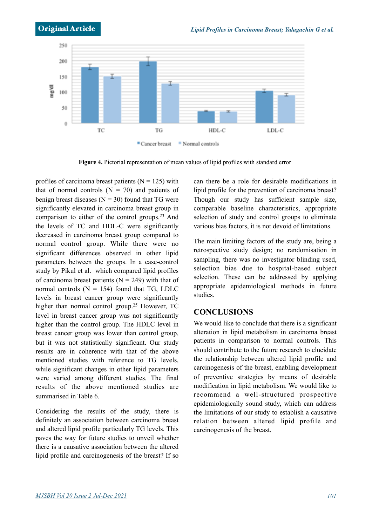

**Figure 4.** Pictorial representation of mean values of lipid profiles with standard error

profiles of carcinoma breast patients  $(N = 125)$  with that of normal controls  $(N = 70)$  and patients of benign breast diseases  $(N = 30)$  found that TG were significantly elevated in carcinoma breast group in comparison to either of the control groups.23 And the levels of TC and HDL-C were significantly decreased in carcinoma breast group compared to normal control group. While there were no significant differences observed in other lipid parameters between the groups. In a case-control study by Pikul et al. which compared lipid profiles of carcinoma breast patients ( $N = 249$ ) with that of normal controls  $(N = 154)$  found that TG, LDLC levels in breast cancer group were significantly higher than normal control group.<sup>25</sup> However, TC level in breast cancer group was not significantly higher than the control group. The HDLC level in breast cancer group was lower than control group, but it was not statistically significant. Our study results are in coherence with that of the above mentioned studies with reference to TG levels, while significant changes in other lipid parameters were varied among different studies. The final results of the above mentioned studies are summarised in Table 6.

Considering the results of the study, there is definitely an association between carcinoma breast and altered lipid profile particularly TG levels. This paves the way for future studies to unveil whether there is a causative association between the altered lipid profile and carcinogenesis of the breast? If so

can there be a role for desirable modifications in lipid profile for the prevention of carcinoma breast? Though our study has sufficient sample size, comparable baseline characteristics, appropriate selection of study and control groups to eliminate various bias factors, it is not devoid of limitations.

The main limiting factors of the study are, being a retrospective study design; no randomisation in sampling, there was no investigator blinding used, selection bias due to hospital-based subject selection. These can be addressed by applying appropriate epidemiological methods in future studies.

### **CONCLUSIONS**

We would like to conclude that there is a significant alteration in lipid metabolism in carcinoma breast patients in comparison to normal controls. This should contribute to the future research to elucidate the relationship between altered lipid profile and carcinogenesis of the breast, enabling development of preventive strategies by means of desirable modification in lipid metabolism. We would like to recommend a well-structured prospective epidemiologically sound study, which can address the limitations of our study to establish a causative relation between altered lipid profile and carcinogenesis of the breast.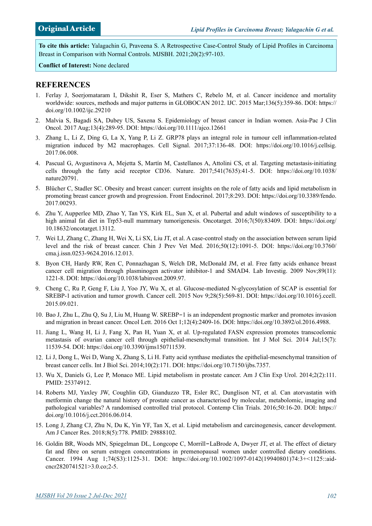**To cite this article:** Yalagachin G, Praveena S. A Retrospective Case-Control Study of Lipid Profiles in Carcinoma Breast in Comparison with Normal Controls. MJSBH. 2021;20(2):97-103.

**Conflict of Interest:** None declared

## **REFERENCES**

- 1. Ferlay J, Soerjomataram I, Dikshit R, Eser S, Mathers C, Rebelo M, et al. Cancer incidence and mortality worldwide: sources, methods and major patterns in GLOBOCAN 2012. IJC. 2015 Mar;136(5):359-86. DOI: https:// doi.org/10.1002/ijc.29210
- 2. Malvia S, Bagadi SA, Dubey US, Saxena S. Epidemiology of breast cancer in Indian women. Asia-Pac J Clin Oncol. 2017 Aug;13(4):289-95. DOI: https://doi.org/10.1111/ajco.12661
- 3. Zhang L, Li Z, Ding G, La X, Yang P, Li Z. GRP78 plays an integral role in tumour cell inflammation-related migration induced by M2 macrophages. Cell Signal. 2017;37:136-48. DOI: https://doi.org/10.1016/j.cellsig. 2017.06.008.
- 4. Pascual G, Avgustinova A, Mejetta S, Martín M, Castellanos A, Attolini CS, et al. Targeting metastasis-initiating cells through the fatty acid receptor CD36. Nature. 2017;541(7635):41-5. DOI: https://doi.org/10.1038/ nature20791.
- 5. Blücher C, Stadler SC. Obesity and breast cancer: current insights on the role of fatty acids and lipid metabolism in promoting breast cancer growth and progression. Front Endocrinol. 2017;8:293. DOI: https://doi.org/10.3389/fendo. 2017.00293.
- 6. Zhu Y, Aupperlee MD, Zhao Y, Tan YS, Kirk EL, Sun X, et al. Pubertal and adult windows of susceptibility to a high animal fat diet in Trp53-null mammary tumorigenesis. Oncotarget. 2016;7(50):83409. DOI: https://doi.org/ 10.18632/oncotarget.13112.
- 7. Wei LJ, Zhang C, Zhang H, Wei X, Li SX, Liu JT, et al. A case-control study on the association between serum lipid level and the risk of breast cancer. Chin J Prev Vet Med. 2016;50(12):1091-5. DOI: https://doi.org/10.3760/ cma.j.issn.0253-9624.2016.12.013.
- 8. Byon CH, Hardy RW, Ren C, Ponnazhagan S, Welch DR, McDonald JM, et al. Free fatty acids enhance breast cancer cell migration through plasminogen activator inhibitor-1 and SMAD4. Lab Investig. 2009 Nov;89(11): 1221-8. DOI: https://doi.org/10.1038/labinvest.2009.97.
- 9. Cheng C, Ru P, Geng F, Liu J, Yoo JY, Wu X, et al. Glucose-mediated N-glycosylation of SCAP is essential for SREBP-1 activation and tumor growth. Cancer cell. 2015 Nov 9;28(5):569-81. DOI: https://doi.org/10.1016/j.ccell. 2015.09.021.
- 10. Bao J, Zhu L, Zhu Q, Su J, Liu M, Huang W. SREBP-1 is an independent prognostic marker and promotes invasion and migration in breast cancer. Oncol Lett. 2016 Oct 1;12(4):2409-16. DOI: https://doi.org/10.3892/ol.2016.4988.
- 11. Jiang L, Wang H, Li J, Fang X, Pan H, Yuan X, et al. Up-regulated FASN expression promotes transcoelomic metastasis of ovarian cancer cell through epithelial-mesenchymal transition. Int J Mol Sci. 2014 Jul;15(7): 11539-54. DOI: https://doi.org/10.3390/ijms150711539.
- 12. Li J, Dong L, Wei D, Wang X, Zhang S, Li H. Fatty acid synthase mediates the epithelial-mesenchymal transition of breast cancer cells. Int J Biol Sci. 2014;10(2):171. DOI: https://doi.org/10.7150/ijbs.7357.
- 13. Wu X, Daniels G, Lee P, Monaco ME. Lipid metabolism in prostate cancer. Am J Clin Exp Urol. 2014;2(2):111. PMID: 25374912.
- 14. Roberts MJ, Yaxley JW, Coughlin GD, Gianduzzo TR, Esler RC, Dunglison NT, et al. Can atorvastatin with metformin change the natural history of prostate cancer as characterised by molecular, metabolomic, imaging and pathological variables? A randomised controlled trial protocol. Contemp Clin Trials. 2016;50:16-20. DOI: https:// doi.org/10.1016/j.cct.2016.06.014.
- 15. Long J, Zhang CJ, Zhu N, Du K, Yin YF, Tan X, et al. Lipid metabolism and carcinogenesis, cancer development. Am J Cancer Res. 2018;8(5):778. PMID: 29888102.
- 16. Goldin BR, Woods MN, Spiegelman DL, Longcope C, Morrill**-**LaBrode A, Dwyer JT, et al. The effect of dietary fat and fibre on serum estrogen concentrations in premenopausal women under controlled dietary conditions. Cancer. 1994 Aug 1;74(S3):1125-31. DOI: https://doi.org/10.1002/1097-0142(19940801)74:3+<1125::aidcncr2820741521>3.0.co;2-5.